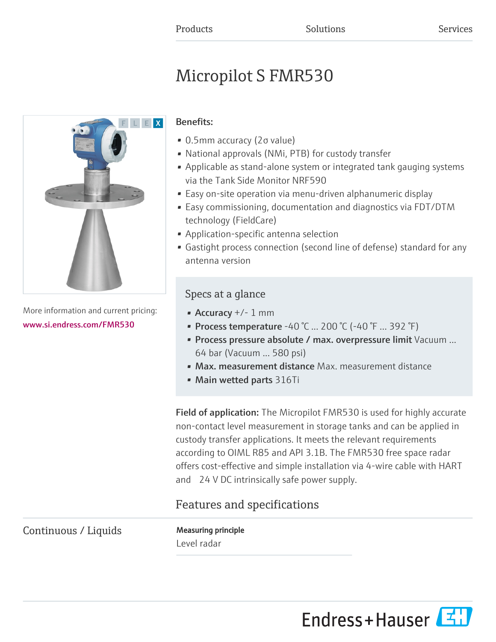# Micropilot S FMR530



More information and current pricing: [www.si.endress.com/FMR530](https://www.si.endress.com/FMR530)

# Benefits:

- 0.5mm accuracy (2σ value)
- National approvals (NMi, PTB) for custody transfer
- Applicable as stand-alone system or integrated tank gauging systems via the Tank Side Monitor NRF590
- Easy on-site operation via menu-driven alphanumeric display
- Easy commissioning, documentation and diagnostics via FDT/DTM technology (FieldCare)
- Application-specific antenna selection
- Gastight process connection (second line of defense) standard for any antenna version

# Specs at a glance

- Accuracy +/- 1 mm
- Process temperature -40 °C ... 200 °C (-40 °F ... 392 °F)
- Process pressure absolute / max. overpressure limit Vacuum ... 64 bar (Vacuum ... 580 psi)
- Max. measurement distance Max. measurement distance
- Main wetted parts 316Ti

Field of application: The Micropilot FMR530 is used for highly accurate non-contact level measurement in storage tanks and can be applied in custody transfer applications. It meets the relevant requirements according to OIML R85 and API 3.1B. The FMR530 free space radar offers cost-effective and simple installation via 4-wire cable with HART and 24 V DC intrinsically safe power supply.

# Features and specifications

Continuous / Liquids Measuring principle

Level radar

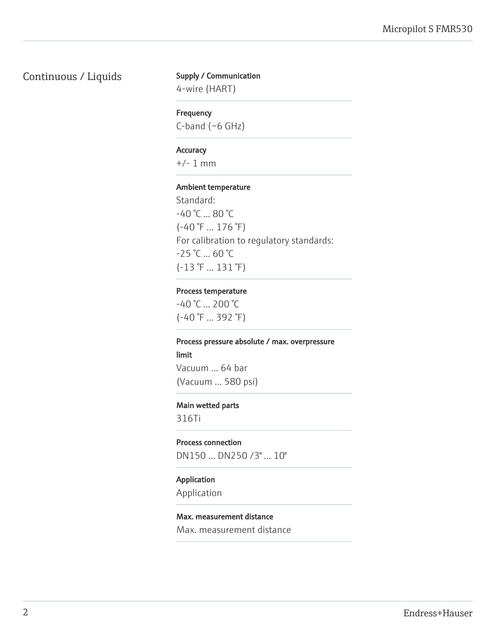# Continuous / Liquids Supply / Communication

4-wire (HART)

#### Frequency

C-band (~6 GHz)

#### **Accuracy**

+/- 1 mm

#### Ambient temperature

Standard: -40 °C ... 80 °C (-40 °F ... 176 °F) For calibration to regulatory standards:  $-25$  °C ... 60 °C (-13 °F ... 131 °F)

#### Process temperature

-40 °C ... 200 °C (-40 °F ... 392 °F)

# Process pressure absolute / max. overpressure limit Vacuum ... 64 bar

(Vacuum ... 580 psi)

#### Main wetted parts

316Ti

Process connection DN150 ... DN250 /3" ... 10"

#### Application

Application

### Max. measurement distance

Max. measurement distance